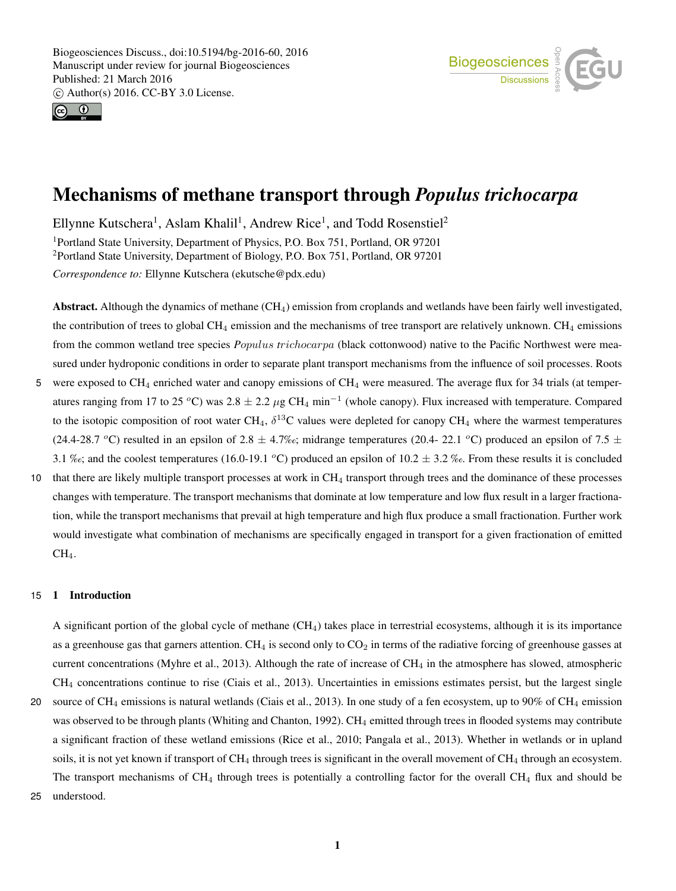



# Mechanisms of methane transport through *Populus trichocarpa*

Ellynne Kutschera<sup>1</sup>, Aslam Khalil<sup>1</sup>, Andrew Rice<sup>1</sup>, and Todd Rosenstiel<sup>2</sup> <sup>1</sup>Portland State University, Department of Physics, P.O. Box 751, Portland, OR 97201 <sup>2</sup>Portland State University, Department of Biology, P.O. Box 751, Portland, OR 97201 *Correspondence to:* Ellynne Kutschera (ekutsche@pdx.edu)

Abstract. Although the dynamics of methane (CH4) emission from croplands and wetlands have been fairly well investigated, the contribution of trees to global  $CH_4$  emission and the mechanisms of tree transport are relatively unknown.  $CH_4$  emissions from the common wetland tree species *P*opulus *t*richocarpa (black cottonwood) native to the Pacific Northwest were measured under hydroponic conditions in order to separate plant transport mechanisms from the influence of soil processes. Roots 5 were exposed to  $CH_4$  enriched water and canopy emissions of  $CH_4$  were measured. The average flux for 34 trials (at temper-

- atures ranging from 17 to 25 °C) was  $2.8 \pm 2.2 \,\mu$ g CH<sub>4</sub> min<sup>-1</sup> (whole canopy). Flux increased with temperature. Compared to the isotopic composition of root water CH<sub>4</sub>,  $\delta^{13}$ C values were depleted for canopy CH<sub>4</sub> where the warmest temperatures (24.4-28.7 °C) resulted in an epsilon of 2.8  $\pm$  4.7‰; midrange temperatures (20.4- 22.1 °C) produced an epsilon of 7.5  $\pm$ 3.1 ‰; and the coolest temperatures (16.0-19.1 °C) produced an epsilon of 10.2  $\pm$  3.2 ‰. From these results it is concluded
- 10 that there are likely multiple transport processes at work in CH<sup>4</sup> transport through trees and the dominance of these processes changes with temperature. The transport mechanisms that dominate at low temperature and low flux result in a larger fractionation, while the transport mechanisms that prevail at high temperature and high flux produce a small fractionation. Further work would investigate what combination of mechanisms are specifically engaged in transport for a given fractionation of emitted CH<sub>4</sub>.

## 15 1 Introduction

A significant portion of the global cycle of methane  $(CH_4)$  takes place in terrestrial ecosystems, although it is its importance as a greenhouse gas that garners attention. CH<sub>4</sub> is second only to  $CO<sub>2</sub>$  in terms of the radiative forcing of greenhouse gasses at current concentrations (Myhre et al., 2013). Although the rate of increase of  $CH<sub>4</sub>$  in the atmosphere has slowed, atmospheric CH<sup>4</sup> concentrations continue to rise (Ciais et al., 2013). Uncertainties in emissions estimates persist, but the largest single

- 20 source of CH<sub>4</sub> emissions is natural wetlands (Ciais et al., 2013). In one study of a fen ecosystem, up to 90% of CH<sub>4</sub> emission was observed to be through plants (Whiting and Chanton, 1992). CH<sub>4</sub> emitted through trees in flooded systems may contribute a significant fraction of these wetland emissions (Rice et al., 2010; Pangala et al., 2013). Whether in wetlands or in upland soils, it is not yet known if transport of  $CH_4$  through trees is significant in the overall movement of  $CH_4$  through an ecosystem. The transport mechanisms of  $CH_4$  through trees is potentially a controlling factor for the overall  $CH_4$  flux and should be
- 25 understood.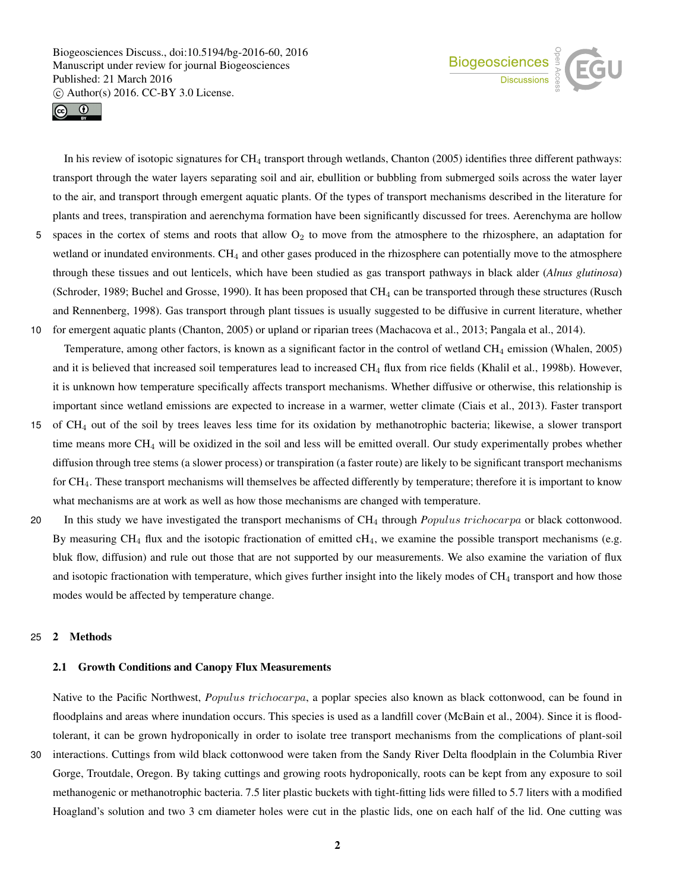



In his review of isotopic signatures for CH<sup>4</sup> transport through wetlands, Chanton (2005) identifies three different pathways: transport through the water layers separating soil and air, ebullition or bubbling from submerged soils across the water layer to the air, and transport through emergent aquatic plants. Of the types of transport mechanisms described in the literature for plants and trees, transpiration and aerenchyma formation have been significantly discussed for trees. Aerenchyma are hollow

- 5 spaces in the cortex of stems and roots that allow  $O_2$  to move from the atmosphere to the rhizosphere, an adaptation for wetland or inundated environments.  $CH_4$  and other gases produced in the rhizosphere can potentially move to the atmosphere through these tissues and out lenticels, which have been studied as gas transport pathways in black alder (*Alnus glutinosa*) (Schroder, 1989; Buchel and Grosse, 1990). It has been proposed that CH<sup>4</sup> can be transported through these structures (Rusch and Rennenberg, 1998). Gas transport through plant tissues is usually suggested to be diffusive in current literature, whether 10 for emergent aquatic plants (Chanton, 2005) or upland or riparian trees (Machacova et al., 2013; Pangala et al., 2014).
- Temperature, among other factors, is known as a significant factor in the control of wetland  $CH_4$  emission (Whalen, 2005) and it is believed that increased soil temperatures lead to increased  $CH_4$  flux from rice fields (Khalil et al., 1998b). However, it is unknown how temperature specifically affects transport mechanisms. Whether diffusive or otherwise, this relationship is important since wetland emissions are expected to increase in a warmer, wetter climate (Ciais et al., 2013). Faster transport
- 15 of CH<sup>4</sup> out of the soil by trees leaves less time for its oxidation by methanotrophic bacteria; likewise, a slower transport time means more CH<sup>4</sup> will be oxidized in the soil and less will be emitted overall. Our study experimentally probes whether diffusion through tree stems (a slower process) or transpiration (a faster route) are likely to be significant transport mechanisms for CH4. These transport mechanisms will themselves be affected differently by temperature; therefore it is important to know what mechanisms are at work as well as how those mechanisms are changed with temperature.
- 20 In this study we have investigated the transport mechanisms of CH<sup>4</sup> through *P*opulus *t*richocarpa or black cottonwood. By measuring CH<sub>4</sub> flux and the isotopic fractionation of emitted  $cH_4$ , we examine the possible transport mechanisms (e.g. bluk flow, diffusion) and rule out those that are not supported by our measurements. We also examine the variation of flux and isotopic fractionation with temperature, which gives further insight into the likely modes of  $CH<sub>4</sub>$  transport and how those modes would be affected by temperature change.

## 25 2 Methods

## 2.1 Growth Conditions and Canopy Flux Measurements

Native to the Pacific Northwest, *P*opulus *t*richocarpa, a poplar species also known as black cottonwood, can be found in floodplains and areas where inundation occurs. This species is used as a landfill cover (McBain et al., 2004). Since it is floodtolerant, it can be grown hydroponically in order to isolate tree transport mechanisms from the complications of plant-soil

30 interactions. Cuttings from wild black cottonwood were taken from the Sandy River Delta floodplain in the Columbia River Gorge, Troutdale, Oregon. By taking cuttings and growing roots hydroponically, roots can be kept from any exposure to soil methanogenic or methanotrophic bacteria. 7.5 liter plastic buckets with tight-fitting lids were filled to 5.7 liters with a modified Hoagland's solution and two 3 cm diameter holes were cut in the plastic lids, one on each half of the lid. One cutting was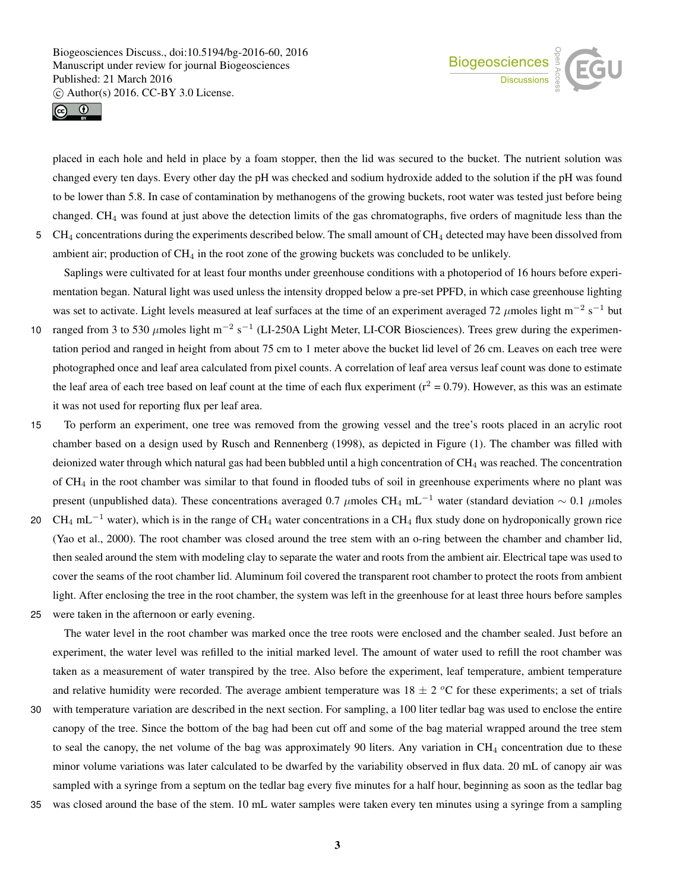



placed in each hole and held in place by a foam stopper, then the lid was secured to the bucket. The nutrient solution was changed every ten days. Every other day the pH was checked and sodium hydroxide added to the solution if the pH was found to be lower than 5.8. In case of contamination by methanogens of the growing buckets, root water was tested just before being changed. CH<sup>4</sup> was found at just above the detection limits of the gas chromatographs, five orders of magnitude less than the  $5 \text{CH}_4$  concentrations during the experiments described below. The small amount of  $\text{CH}_4$  detected may have been dissolved from ambient air; production of  $CH_4$  in the root zone of the growing buckets was concluded to be unlikely.

Saplings were cultivated for at least four months under greenhouse conditions with a photoperiod of 16 hours before experimentation began. Natural light was used unless the intensity dropped below a pre-set PPFD, in which case greenhouse lighting was set to activate. Light levels measured at leaf surfaces at the time of an experiment averaged 72  $\mu$ moles light m<sup>-2</sup> s<sup>-1</sup> but

- 10 ranged from 3 to 530  $\mu$ moles light m<sup>-2</sup> s<sup>-1</sup> (LI-250A Light Meter, LI-COR Biosciences). Trees grew during the experimentation period and ranged in height from about 75 cm to 1 meter above the bucket lid level of 26 cm. Leaves on each tree were photographed once and leaf area calculated from pixel counts. A correlation of leaf area versus leaf count was done to estimate the leaf area of each tree based on leaf count at the time of each flux experiment ( $r^2 = 0.79$ ). However, as this was an estimate it was not used for reporting flux per leaf area.
- 15 To perform an experiment, one tree was removed from the growing vessel and the tree's roots placed in an acrylic root chamber based on a design used by Rusch and Rennenberg (1998), as depicted in Figure (1). The chamber was filled with deionized water through which natural gas had been bubbled until a high concentration of  $CH<sub>4</sub>$  was reached. The concentration of CH<sup>4</sup> in the root chamber was similar to that found in flooded tubs of soil in greenhouse experiments where no plant was present (unpublished data). These concentrations averaged 0.7  $\mu$ moles CH<sub>4</sub> mL<sup>-1</sup> water (standard deviation ~ 0.1  $\mu$ moles
- 20 CH<sub>4</sub> mL<sup>-1</sup> water), which is in the range of CH<sub>4</sub> water concentrations in a CH<sub>4</sub> flux study done on hydroponically grown rice (Yao et al., 2000). The root chamber was closed around the tree stem with an o-ring between the chamber and chamber lid, then sealed around the stem with modeling clay to separate the water and roots from the ambient air. Electrical tape was used to cover the seams of the root chamber lid. Aluminum foil covered the transparent root chamber to protect the roots from ambient light. After enclosing the tree in the root chamber, the system was left in the greenhouse for at least three hours before samples
- 25 were taken in the afternoon or early evening.

The water level in the root chamber was marked once the tree roots were enclosed and the chamber sealed. Just before an experiment, the water level was refilled to the initial marked level. The amount of water used to refill the root chamber was taken as a measurement of water transpired by the tree. Also before the experiment, leaf temperature, ambient temperature and relative humidity were recorded. The average ambient temperature was  $18 \pm 2$  °C for these experiments; a set of trials

- 30 with temperature variation are described in the next section. For sampling, a 100 liter tedlar bag was used to enclose the entire canopy of the tree. Since the bottom of the bag had been cut off and some of the bag material wrapped around the tree stem to seal the canopy, the net volume of the bag was approximately 90 liters. Any variation in CH<sub>4</sub> concentration due to these minor volume variations was later calculated to be dwarfed by the variability observed in flux data. 20 mL of canopy air was sampled with a syringe from a septum on the tedlar bag every five minutes for a half hour, beginning as soon as the tedlar bag
- 35 was closed around the base of the stem. 10 mL water samples were taken every ten minutes using a syringe from a sampling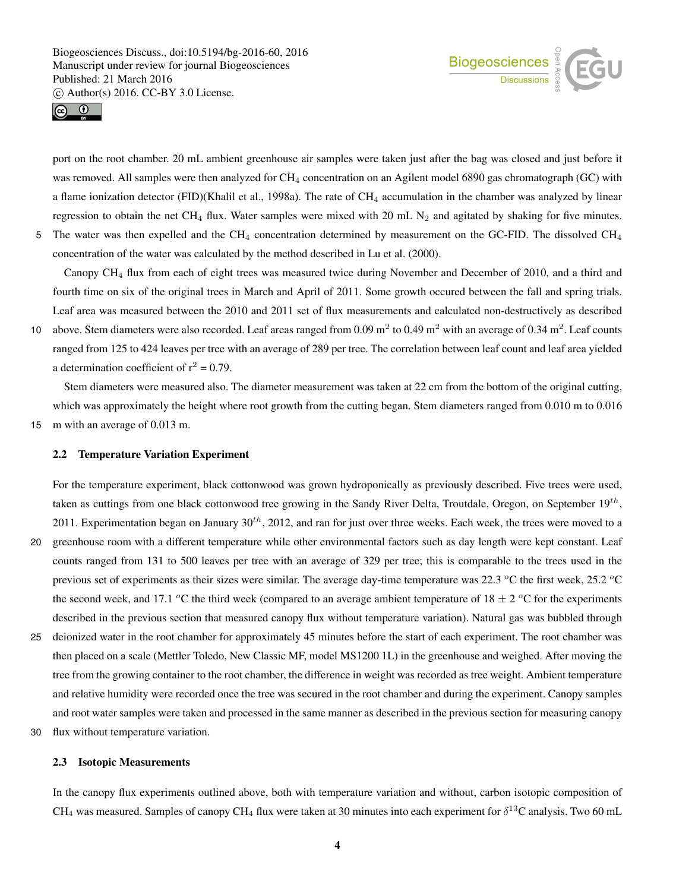



port on the root chamber. 20 mL ambient greenhouse air samples were taken just after the bag was closed and just before it was removed. All samples were then analyzed for CH<sub>4</sub> concentration on an Agilent model 6890 gas chromatograph (GC) with a flame ionization detector (FID)(Khalil et al., 1998a). The rate of CH<sub>4</sub> accumulation in the chamber was analyzed by linear regression to obtain the net CH<sub>4</sub> flux. Water samples were mixed with 20 mL  $N_2$  and agitated by shaking for five minutes. 5 The water was then expelled and the CH<sub>4</sub> concentration determined by measurement on the GC-FID. The dissolved CH<sub>4</sub> concentration of the water was calculated by the method described in Lu et al. (2000).

Canopy CH<sup>4</sup> flux from each of eight trees was measured twice during November and December of 2010, and a third and fourth time on six of the original trees in March and April of 2011. Some growth occured between the fall and spring trials. Leaf area was measured between the 2010 and 2011 set of flux measurements and calculated non-destructively as described

10 above. Stem diameters were also recorded. Leaf areas ranged from  $0.09 \text{ m}^2$  to  $0.49 \text{ m}^2$  with an average of  $0.34 \text{ m}^2$ . Leaf counts ranged from 125 to 424 leaves per tree with an average of 289 per tree. The correlation between leaf count and leaf area yielded a determination coefficient of  $r^2 = 0.79$ .

Stem diameters were measured also. The diameter measurement was taken at 22 cm from the bottom of the original cutting, which was approximately the height where root growth from the cutting began. Stem diameters ranged from 0.010 m to 0.016 15 m with an average of 0.013 m.

#### 2.2 Temperature Variation Experiment

For the temperature experiment, black cottonwood was grown hydroponically as previously described. Five trees were used, taken as cuttings from one black cottonwood tree growing in the Sandy River Delta, Troutdale, Oregon, on September  $19^{th}$ , 2011. Experimentation began on January  $30^{th}$ , 2012, and ran for just over three weeks. Each week, the trees were moved to a

- 20 greenhouse room with a different temperature while other environmental factors such as day length were kept constant. Leaf counts ranged from 131 to 500 leaves per tree with an average of 329 per tree; this is comparable to the trees used in the previous set of experiments as their sizes were similar. The average day-time temperature was 22.3  $\degree$ C the first week, 25.2  $\degree$ C the second week, and 17.1 °C the third week (compared to an average ambient temperature of  $18 \pm 2$  °C for the experiments described in the previous section that measured canopy flux without temperature variation). Natural gas was bubbled through
- 25 deionized water in the root chamber for approximately 45 minutes before the start of each experiment. The root chamber was then placed on a scale (Mettler Toledo, New Classic MF, model MS1200 1L) in the greenhouse and weighed. After moving the tree from the growing container to the root chamber, the difference in weight was recorded as tree weight. Ambient temperature and relative humidity were recorded once the tree was secured in the root chamber and during the experiment. Canopy samples and root water samples were taken and processed in the same manner as described in the previous section for measuring canopy
- 30 flux without temperature variation.

## 2.3 Isotopic Measurements

In the canopy flux experiments outlined above, both with temperature variation and without, carbon isotopic composition of CH<sub>4</sub> was measured. Samples of canopy CH<sub>4</sub> flux were taken at 30 minutes into each experiment for  $\delta^{13}$ C analysis. Two 60 mL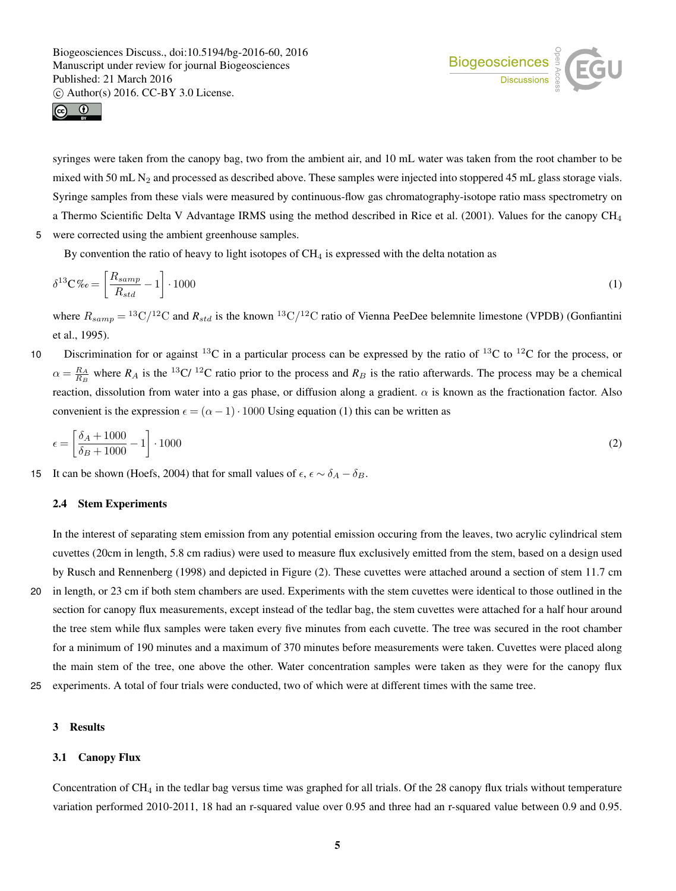



syringes were taken from the canopy bag, two from the ambient air, and 10 mL water was taken from the root chamber to be mixed with 50 mL  $N_2$  and processed as described above. These samples were injected into stoppered 45 mL glass storage vials. Syringe samples from these vials were measured by continuous-flow gas chromatography-isotope ratio mass spectrometry on a Thermo Scientific Delta V Advantage IRMS using the method described in Rice et al. (2001). Values for the canopy CH<sup>4</sup> 5 were corrected using the ambient greenhouse samples.

By convention the ratio of heavy to light isotopes of  $CH<sub>4</sub>$  is expressed with the delta notation as

$$
\delta^{13} \mathbf{C} \% o = \left[ \frac{R_{samp}}{R_{std}} - 1 \right] \cdot 1000 \tag{1}
$$

where  $R_{samp} = {}^{13}C/{}^{12}C$  and  $R_{std}$  is the known  ${}^{13}C/{}^{12}C$  ratio of Vienna PeeDee belemnite limestone (VPDB) (Gonfiantini et al., 1995).

10 Discrimination for or against <sup>13</sup>C in a particular process can be expressed by the ratio of <sup>13</sup>C to <sup>12</sup>C for the process, or  $\alpha = \frac{R_A}{R_B}$  where  $R_A$  is the <sup>13</sup>C/ <sup>12</sup>C ratio prior to the process and  $R_B$  is the ratio afterwards. The process may be a chemical reaction, dissolution from water into a gas phase, or diffusion along a gradient.  $\alpha$  is known as the fractionation factor. Also convenient is the expression  $\epsilon = (\alpha - 1) \cdot 1000$  Using equation (1) this can be written as

$$
\epsilon = \left[\frac{\delta_A + 1000}{\delta_B + 1000} - 1\right] \cdot 1000\tag{2}
$$

15 It can be shown (Hoefs, 2004) that for small values of  $\epsilon$ ,  $\epsilon \sim \delta_A - \delta_B$ .

## 2.4 Stem Experiments

In the interest of separating stem emission from any potential emission occuring from the leaves, two acrylic cylindrical stem cuvettes (20cm in length, 5.8 cm radius) were used to measure flux exclusively emitted from the stem, based on a design used by Rusch and Rennenberg (1998) and depicted in Figure (2). These cuvettes were attached around a section of stem 11.7 cm

- 20 in length, or 23 cm if both stem chambers are used. Experiments with the stem cuvettes were identical to those outlined in the section for canopy flux measurements, except instead of the tedlar bag, the stem cuvettes were attached for a half hour around the tree stem while flux samples were taken every five minutes from each cuvette. The tree was secured in the root chamber for a minimum of 190 minutes and a maximum of 370 minutes before measurements were taken. Cuvettes were placed along the main stem of the tree, one above the other. Water concentration samples were taken as they were for the canopy flux
- 25 experiments. A total of four trials were conducted, two of which were at different times with the same tree.

#### 3 Results

## 3.1 Canopy Flux

Concentration of  $CH<sub>4</sub>$  in the tedlar bag versus time was graphed for all trials. Of the 28 canopy flux trials without temperature variation performed 2010-2011, 18 had an r-squared value over 0.95 and three had an r-squared value between 0.9 and 0.95.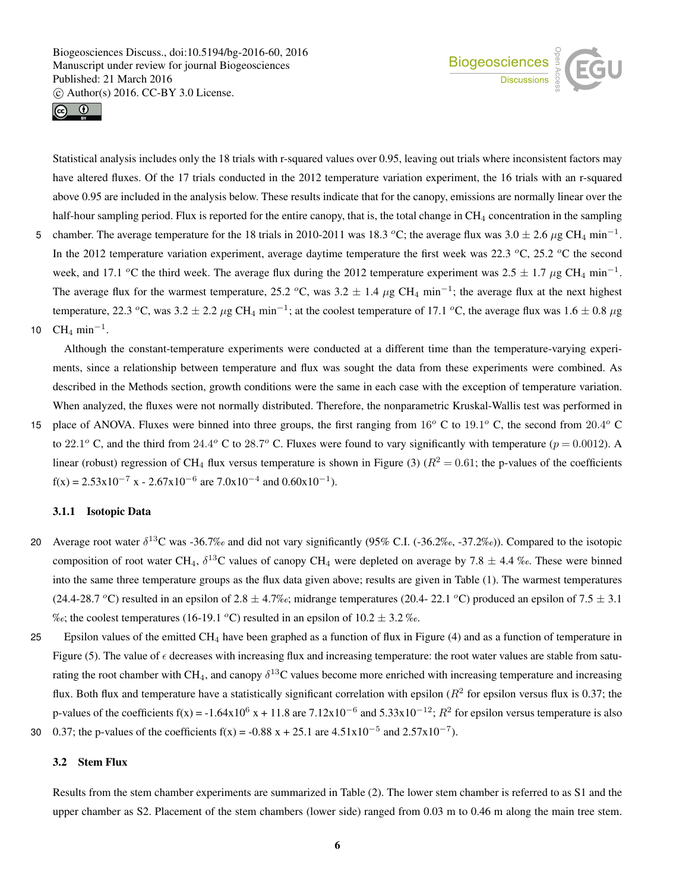



Statistical analysis includes only the 18 trials with r-squared values over 0.95, leaving out trials where inconsistent factors may have altered fluxes. Of the 17 trials conducted in the 2012 temperature variation experiment, the 16 trials with an r-squared above 0.95 are included in the analysis below. These results indicate that for the canopy, emissions are normally linear over the half-hour sampling period. Flux is reported for the entire canopy, that is, the total change in CH<sub>4</sub> concentration in the sampling

5 chamber. The average temperature for the 18 trials in 2010-2011 was 18.3 °C; the average flux was  $3.0 \pm 2.6 \,\mu$ g CH<sub>4</sub> min<sup>-1</sup>. In the 2012 temperature variation experiment, average daytime temperature the first week was 22.3  $^{\circ}$ C, 25.2  $^{\circ}$ C the second week, and 17.1 <sup>o</sup>C the third week. The average flux during the 2012 temperature experiment was 2.5  $\pm$  1.7  $\mu$ g CH<sub>4</sub> min<sup>-1</sup>. The average flux for the warmest temperature, 25.2 °C, was  $3.2 \pm 1.4 \ \mu$ g CH<sub>4</sub> min<sup>-1</sup>; the average flux at the next highest temperature, 22.3 °C, was  $3.2 \pm 2.2 \,\mu$ g CH<sub>4</sub> min<sup>-1</sup>; at the coolest temperature of 17.1 °C, the average flux was  $1.6 \pm 0.8 \,\mu$ g 10  $\text{CH}_4 \text{ min}^{-1}$ .

Although the constant-temperature experiments were conducted at a different time than the temperature-varying experiments, since a relationship between temperature and flux was sought the data from these experiments were combined. As described in the Methods section, growth conditions were the same in each case with the exception of temperature variation. When analyzed, the fluxes were not normally distributed. Therefore, the nonparametric Kruskal-Wallis test was performed in

15 place of ANOVA. Fluxes were binned into three groups, the first ranging from  $16^o$  C to  $19.1^o$  C, the second from  $20.4^o$  C to 22.1<sup>o</sup> C, and the third from 24.4<sup>o</sup> C to 28.7<sup>o</sup> C. Fluxes were found to vary significantly with temperature ( $p = 0.0012$ ). A linear (robust) regression of CH<sub>4</sub> flux versus temperature is shown in Figure (3) ( $R^2 = 0.61$ ; the p-values of the coefficients  $f(x) = 2.53x10^{-7}$  x - 2.67x10<sup>-6</sup> are 7.0x10<sup>-4</sup> and 0.60x10<sup>-1</sup>).

## 3.1.1 Isotopic Data

- 20 Average root water  $\delta^{13}$ C was -36.7‰ and did not vary significantly (95% C.I. (-36.2‰, -37.2‰)). Compared to the isotopic composition of root water CH<sub>4</sub>,  $\delta^{13}$ C values of canopy CH<sub>4</sub> were depleted on average by 7.8  $\pm$  4.4 ‰. These were binned into the same three temperature groups as the flux data given above; results are given in Table (1). The warmest temperatures (24.4-28.7 °C) resulted in an epsilon of 2.8  $\pm$  4.7‰; midrange temperatures (20.4-22.1 °C) produced an epsilon of 7.5  $\pm$  3.1 ‰; the coolest temperatures (16-19.1 °C) resulted in an epsilon of  $10.2 \pm 3.2$  ‰.
- 25 Epsilon values of the emitted  $CH_4$  have been graphed as a function of flux in Figure (4) and as a function of temperature in Figure (5). The value of  $\epsilon$  decreases with increasing flux and increasing temperature: the root water values are stable from saturating the root chamber with CH<sub>4</sub>, and canopy  $\delta^{13}$ C values become more enriched with increasing temperature and increasing flux. Both flux and temperature have a statistically significant correlation with epsilon ( $R^2$  for epsilon versus flux is 0.37; the p-values of the coefficients f(x) = -1.64x10<sup>6</sup> x + 11.8 are 7.12x10<sup>-6</sup> and 5.33x10<sup>-12</sup>;  $R^2$  for epsilon versus temperature is also 30 0.37; the p-values of the coefficients f(x) = -0.88 x + 25.1 are  $4.51 \times 10^{-5}$  and  $2.57 \times 10^{-7}$ ).

## 3.2 Stem Flux

Results from the stem chamber experiments are summarized in Table (2). The lower stem chamber is referred to as S1 and the upper chamber as S2. Placement of the stem chambers (lower side) ranged from 0.03 m to 0.46 m along the main tree stem.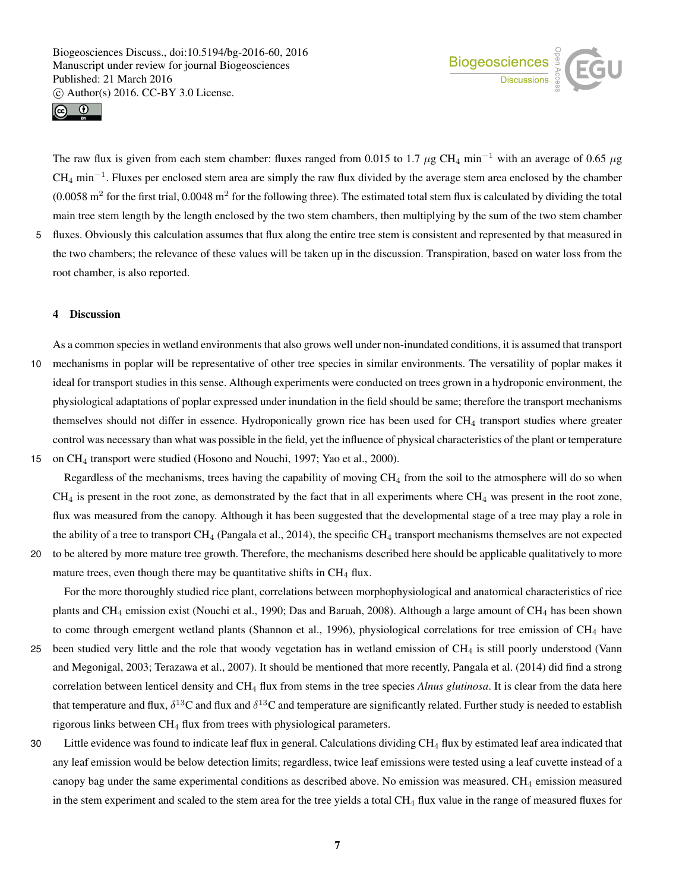



The raw flux is given from each stem chamber: fluxes ranged from 0.015 to 1.7  $\mu$ g CH<sub>4</sub> min<sup>-1</sup> with an average of 0.65  $\mu$ g  $CH_4$  min<sup>-1</sup>. Fluxes per enclosed stem area are simply the raw flux divided by the average stem area enclosed by the chamber  $(0.0058 \text{ m}^2 \text{ for the first trial}, 0.0048 \text{ m}^2 \text{ for the following three})$ . The estimated total stem flux is calculated by dividing the total main tree stem length by the length enclosed by the two stem chambers, then multiplying by the sum of the two stem chamber 5 fluxes. Obviously this calculation assumes that flux along the entire tree stem is consistent and represented by that measured in

the two chambers; the relevance of these values will be taken up in the discussion. Transpiration, based on water loss from the root chamber, is also reported.

#### 4 Discussion

As a common species in wetland environments that also grows well under non-inundated conditions, it is assumed that transport 10 mechanisms in poplar will be representative of other tree species in similar environments. The versatility of poplar makes it ideal for transport studies in this sense. Although experiments were conducted on trees grown in a hydroponic environment, the physiological adaptations of poplar expressed under inundation in the field should be same; therefore the transport mechanisms themselves should not differ in essence. Hydroponically grown rice has been used for CH<sub>4</sub> transport studies where greater control was necessary than what was possible in the field, yet the influence of physical characteristics of the plant or temperature 15 on CH<sup>4</sup> transport were studied (Hosono and Nouchi, 1997; Yao et al., 2000).

Regardless of the mechanisms, trees having the capability of moving  $CH<sub>4</sub>$  from the soil to the atmosphere will do so when  $CH<sub>4</sub>$  is present in the root zone, as demonstrated by the fact that in all experiments where  $CH<sub>4</sub>$  was present in the root zone, flux was measured from the canopy. Although it has been suggested that the developmental stage of a tree may play a role in the ability of a tree to transport  $CH_4$  (Pangala et al., 2014), the specific  $CH_4$  transport mechanisms themselves are not expected

20 to be altered by more mature tree growth. Therefore, the mechanisms described here should be applicable qualitatively to more mature trees, even though there may be quantitative shifts in  $CH<sub>4</sub>$  flux.

For the more thoroughly studied rice plant, correlations between morphophysiological and anatomical characteristics of rice plants and CH<sub>4</sub> emission exist (Nouchi et al., 1990; Das and Baruah, 2008). Although a large amount of CH<sub>4</sub> has been shown to come through emergent wetland plants (Shannon et al., 1996), physiological correlations for tree emission of CH<sub>4</sub> have

- 25 been studied very little and the role that woody vegetation has in wetland emission of CH<sup>4</sup> is still poorly understood (Vann and Megonigal, 2003; Terazawa et al., 2007). It should be mentioned that more recently, Pangala et al. (2014) did find a strong correlation between lenticel density and CH<sub>4</sub> flux from stems in the tree species *Alnus glutinosa*. It is clear from the data here that temperature and flux,  $\delta^{13}C$  and flux and  $\delta^{13}C$  and temperature are significantly related. Further study is needed to establish rigorous links between  $CH_4$  flux from trees with physiological parameters.
- 30 Little evidence was found to indicate leaf flux in general. Calculations dividing CH<sup>4</sup> flux by estimated leaf area indicated that any leaf emission would be below detection limits; regardless, twice leaf emissions were tested using a leaf cuvette instead of a canopy bag under the same experimental conditions as described above. No emission was measured. CH<sub>4</sub> emission measured in the stem experiment and scaled to the stem area for the tree yields a total CH<sub>4</sub> flux value in the range of measured fluxes for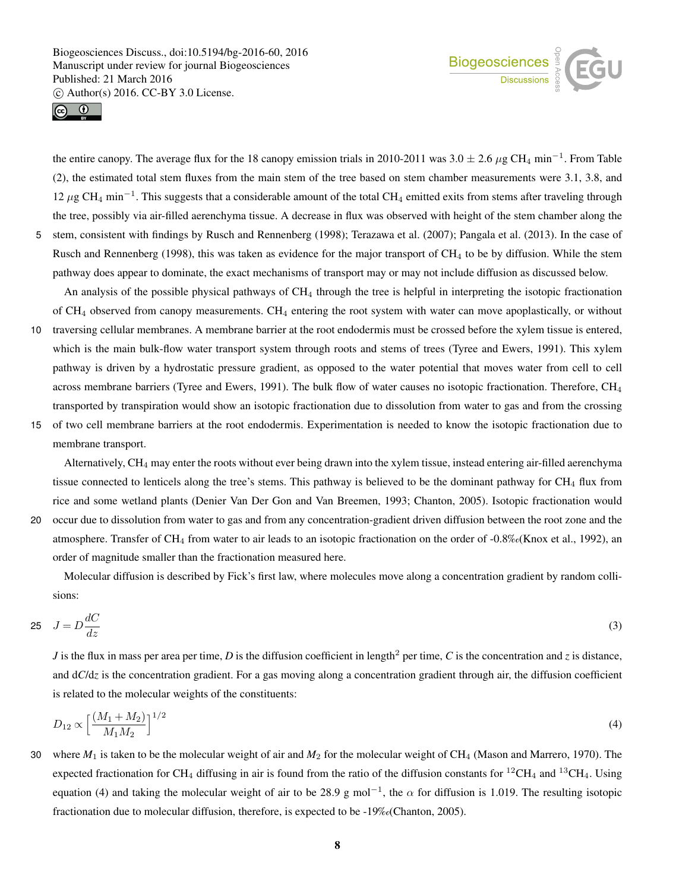



the entire canopy. The average flux for the 18 canopy emission trials in 2010-2011 was  $3.0 \pm 2.6 \,\mu$ g CH<sub>4</sub> min<sup>-1</sup>. From Table (2), the estimated total stem fluxes from the main stem of the tree based on stem chamber measurements were 3.1, 3.8, and 12 μg CH<sub>4</sub> min<sup>-1</sup>. This suggests that a considerable amount of the total CH<sub>4</sub> emitted exits from stems after traveling through the tree, possibly via air-filled aerenchyma tissue. A decrease in flux was observed with height of the stem chamber along the 5 stem, consistent with findings by Rusch and Rennenberg (1998); Terazawa et al. (2007); Pangala et al. (2013). In the case of Rusch and Rennenberg (1998), this was taken as evidence for the major transport of CH<sub>4</sub> to be by diffusion. While the stem

An analysis of the possible physical pathways of  $CH<sub>4</sub>$  through the tree is helpful in interpreting the isotopic fractionation of  $CH_4$  observed from canopy measurements.  $CH_4$  entering the root system with water can move apoplastically, or without

pathway does appear to dominate, the exact mechanisms of transport may or may not include diffusion as discussed below.

- 10 traversing cellular membranes. A membrane barrier at the root endodermis must be crossed before the xylem tissue is entered, which is the main bulk-flow water transport system through roots and stems of trees (Tyree and Ewers, 1991). This xylem pathway is driven by a hydrostatic pressure gradient, as opposed to the water potential that moves water from cell to cell across membrane barriers (Tyree and Ewers, 1991). The bulk flow of water causes no isotopic fractionation. Therefore,  $CH<sub>4</sub>$ transported by transpiration would show an isotopic fractionation due to dissolution from water to gas and from the crossing
- 15 of two cell membrane barriers at the root endodermis. Experimentation is needed to know the isotopic fractionation due to membrane transport.

Alternatively, CH<sup>4</sup> may enter the roots without ever being drawn into the xylem tissue, instead entering air-filled aerenchyma tissue connected to lenticels along the tree's stems. This pathway is believed to be the dominant pathway for  $CH_4$  flux from rice and some wetland plants (Denier Van Der Gon and Van Breemen, 1993; Chanton, 2005). Isotopic fractionation would 20 occur due to dissolution from water to gas and from any concentration-gradient driven diffusion between the root zone and the atmosphere. Transfer of CH<sub>4</sub> from water to air leads to an isotopic fractionation on the order of  $-0.8\%$  (Knox et al., 1992), an

order of magnitude smaller than the fractionation measured here.

Molecular diffusion is described by Fick's first law, where molecules move along a concentration gradient by random collisions:

$$
25 \quad J = D \frac{dC}{dz} \tag{3}
$$

*J* is the flux in mass per area per time, *D* is the diffusion coefficient in length<sup>2</sup> per time, *C* is the concentration and *z* is distance, and  $dC/dz$  is the concentration gradient. For a gas moving along a concentration gradient through air, the diffusion coefficient is related to the molecular weights of the constituents:

$$
D_{12} \propto \left[\frac{(M_1 + M_2)}{M_1 M_2}\right]^{1/2} \tag{4}
$$

30 where *M*<sup>1</sup> is taken to be the molecular weight of air and *M*<sup>2</sup> for the molecular weight of CH<sup>4</sup> (Mason and Marrero, 1970). The expected fractionation for CH<sub>4</sub> diffusing in air is found from the ratio of the diffusion constants for <sup>12</sup>CH<sub>4</sub> and <sup>13</sup>CH<sub>4</sub>. Using equation (4) and taking the molecular weight of air to be 28.9 g mol<sup>-1</sup>, the  $\alpha$  for diffusion is 1.019. The resulting isotopic fractionation due to molecular diffusion, therefore, is expected to be -19‰(Chanton, 2005).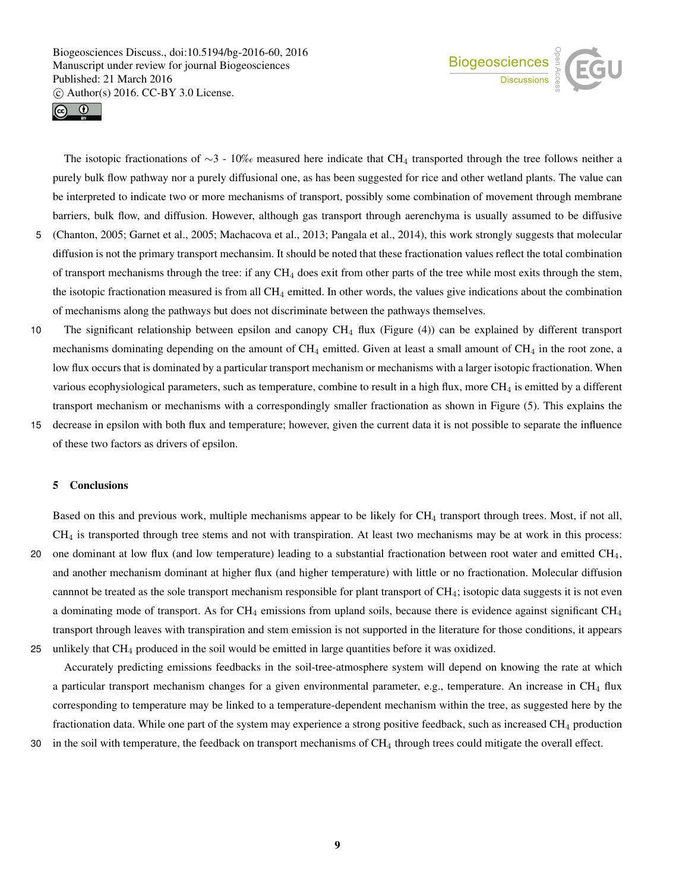



The isotopic fractionations of  $\sim$ 3 - 10‰ measured here indicate that CH<sub>4</sub> transported through the tree follows neither a purely bulk flow pathway nor a purely diffusional one, as has been suggested for rice and other wetland plants. The value can be interpreted to indicate two or more mechanisms of transport, possibly some combination of movement through membrane barriers, bulk flow, and diffusion. However, although gas transport through aerenchyma is usually assumed to be diffusive 5 (Chanton, 2005; Garnet et al., 2005; Machacova et al., 2013; Pangala et al., 2014), this work strongly suggests that molecular

- diffusion is not the primary transport mechansim. It should be noted that these fractionation values reflect the total combination of transport mechanisms through the tree: if any  $CH_4$  does exit from other parts of the tree while most exits through the stem, the isotopic fractionation measured is from all CH<sup>4</sup> emitted. In other words, the values give indications about the combination of mechanisms along the pathways but does not discriminate between the pathways themselves.
- 10 The significant relationship between epsilon and canopy CH<sub>4</sub> flux (Figure (4)) can be explained by different transport mechanisms dominating depending on the amount of  $CH_4$  emitted. Given at least a small amount of  $CH_4$  in the root zone, a low flux occurs that is dominated by a particular transport mechanism or mechanisms with a larger isotopic fractionation. When various ecophysiological parameters, such as temperature, combine to result in a high flux, more  $CH_4$  is emitted by a different transport mechanism or mechanisms with a correspondingly smaller fractionation as shown in Figure (5). This explains the
- 15 decrease in epsilon with both flux and temperature; however, given the current data it is not possible to separate the influence of these two factors as drivers of epsilon.

## 5 Conclusions

Based on this and previous work, multiple mechanisms appear to be likely for CH<sub>4</sub> transport through trees. Most, if not all,  $CH<sub>4</sub>$  is transported through tree stems and not with transpiration. At least two mechanisms may be at work in this process: 20 one dominant at low flux (and low temperature) leading to a substantial fractionation between root water and emitted  $CH<sub>4</sub>$ , and another mechanism dominant at higher flux (and higher temperature) with little or no fractionation. Molecular diffusion cannnot be treated as the sole transport mechanism responsible for plant transport of CH4; isotopic data suggests it is not even a dominating mode of transport. As for  $CH_4$  emissions from upland soils, because there is evidence against significant  $CH_4$ transport through leaves with transpiration and stem emission is not supported in the literature for those conditions, it appears 25 unlikely that CH<sup>4</sup> produced in the soil would be emitted in large quantities before it was oxidized.

Accurately predicting emissions feedbacks in the soil-tree-atmosphere system will depend on knowing the rate at which a particular transport mechanism changes for a given environmental parameter, e.g., temperature. An increase in CH<sub>4</sub> flux corresponding to temperature may be linked to a temperature-dependent mechanism within the tree, as suggested here by the fractionation data. While one part of the system may experience a strong positive feedback, such as increased  $CH_4$  production 30 in the soil with temperature, the feedback on transport mechanisms of CH<sub>4</sub> through trees could mitigate the overall effect.

9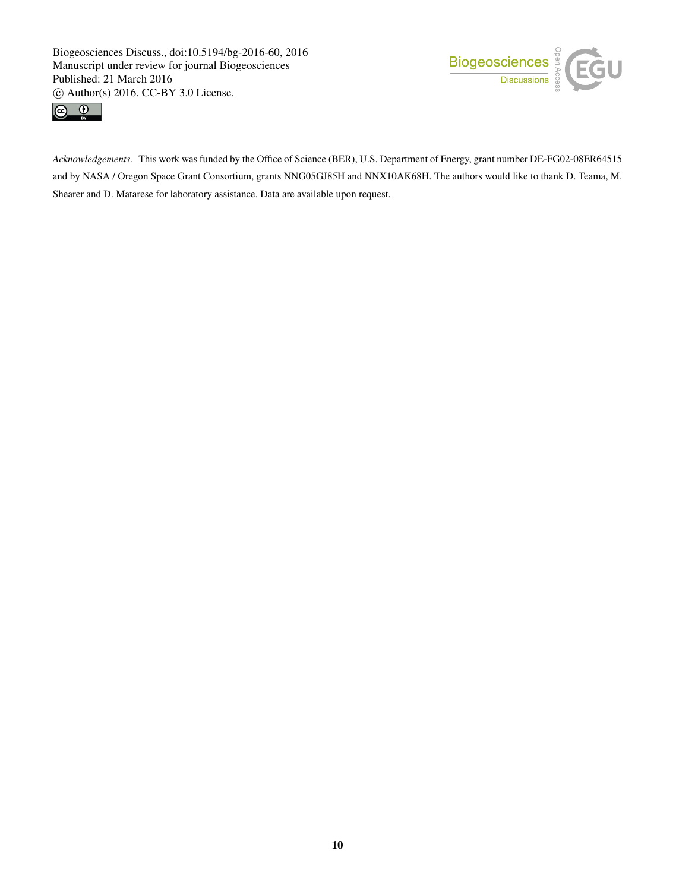



*Acknowledgements.* This work was funded by the Office of Science (BER), U.S. Department of Energy, grant number DE-FG02-08ER64515 and by NASA / Oregon Space Grant Consortium, grants NNG05GJ85H and NNX10AK68H. The authors would like to thank D. Teama, M. Shearer and D. Matarese for laboratory assistance. Data are available upon request.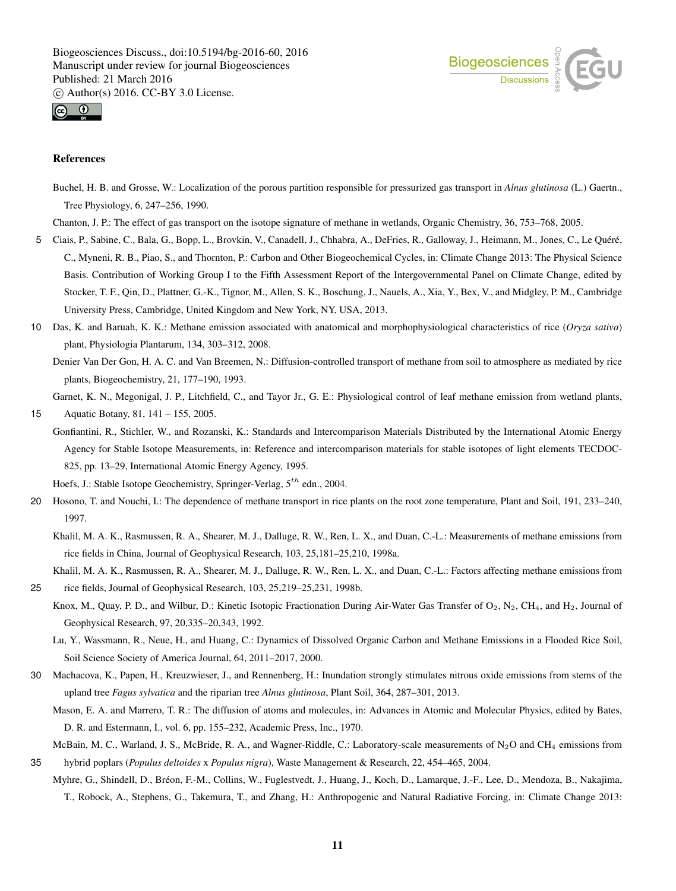



## References

- Buchel, H. B. and Grosse, W.: Localization of the porous partition responsible for pressurized gas transport in *Alnus glutinosa* (L.) Gaertn., Tree Physiology, 6, 247–256, 1990.
- Chanton, J. P.: The effect of gas transport on the isotope signature of methane in wetlands, Organic Chemistry, 36, 753–768, 2005.
- 5 Ciais, P., Sabine, C., Bala, G., Bopp, L., Brovkin, V., Canadell, J., Chhabra, A., DeFries, R., Galloway, J., Heimann, M., Jones, C., Le Quéré, C., Myneni, R. B., Piao, S., and Thornton, P.: Carbon and Other Biogeochemical Cycles, in: Climate Change 2013: The Physical Science Basis. Contribution of Working Group I to the Fifth Assessment Report of the Intergovernmental Panel on Climate Change, edited by Stocker, T. F., Qin, D., Plattner, G.-K., Tignor, M., Allen, S. K., Boschung, J., Nauels, A., Xia, Y., Bex, V., and Midgley, P. M., Cambridge University Press, Cambridge, United Kingdom and New York, NY, USA, 2013.
- 10 Das, K. and Baruah, K. K.: Methane emission associated with anatomical and morphophysiological characteristics of rice (*Oryza sativa*) plant, Physiologia Plantarum, 134, 303–312, 2008.
	- Denier Van Der Gon, H. A. C. and Van Breemen, N.: Diffusion-controlled transport of methane from soil to atmosphere as mediated by rice plants, Biogeochemistry, 21, 177–190, 1993.

Garnet, K. N., Megonigal, J. P., Litchfield, C., and Tayor Jr., G. E.: Physiological control of leaf methane emission from wetland plants, 15 Aquatic Botany, 81, 141 – 155, 2005.

Gonfiantini, R., Stichler, W., and Rozanski, K.: Standards and Intercomparison Materials Distributed by the International Atomic Energy Agency for Stable Isotope Measurements, in: Reference and intercomparison materials for stable isotopes of light elements TECDOC-825, pp. 13–29, International Atomic Energy Agency, 1995.

Hoefs, J.: Stable Isotope Geochemistry, Springer-Verlag,  $5^{th}$  edn., 2004.

- 20 Hosono, T. and Nouchi, I.: The dependence of methane transport in rice plants on the root zone temperature, Plant and Soil, 191, 233–240, 1997.
	- Khalil, M. A. K., Rasmussen, R. A., Shearer, M. J., Dalluge, R. W., Ren, L. X., and Duan, C.-L.: Measurements of methane emissions from rice fields in China, Journal of Geophysical Research, 103, 25,181–25,210, 1998a.

Khalil, M. A. K., Rasmussen, R. A., Shearer, M. J., Dalluge, R. W., Ren, L. X., and Duan, C.-L.: Factors affecting methane emissions from 25 rice fields, Journal of Geophysical Research, 103, 25,219–25,231, 1998b.

- Knox, M., Quay, P. D., and Wilbur, D.: Kinetic Isotopic Fractionation During Air-Water Gas Transfer of  $O_2$ ,  $N_2$ , CH<sub>4</sub>, and H<sub>2</sub>, Journal of Geophysical Research, 97, 20,335–20,343, 1992.
	- Lu, Y., Wassmann, R., Neue, H., and Huang, C.: Dynamics of Dissolved Organic Carbon and Methane Emissions in a Flooded Rice Soil, Soil Science Society of America Journal, 64, 2011–2017, 2000.
- 30 Machacova, K., Papen, H., Kreuzwieser, J., and Rennenberg, H.: Inundation strongly stimulates nitrous oxide emissions from stems of the upland tree *Fagus sylvatica* and the riparian tree *Alnus glutinosa*, Plant Soil, 364, 287–301, 2013.
	- Mason, E. A. and Marrero, T. R.: The diffusion of atoms and molecules, in: Advances in Atomic and Molecular Physics, edited by Bates, D. R. and Estermann, I., vol. 6, pp. 155–232, Academic Press, Inc., 1970.
- McBain, M. C., Warland, J. S., McBride, R. A., and Wagner-Riddle, C.: Laboratory-scale measurements of N<sub>2</sub>O and CH<sub>4</sub> emissions from 35 hybrid poplars (*Populus deltoides* x *Populus nigra*), Waste Management & Research, 22, 454–465, 2004.
- Myhre, G., Shindell, D., Bréon, F.-M., Collins, W., Fuglestvedt, J., Huang, J., Koch, D., Lamarque, J.-F., Lee, D., Mendoza, B., Nakajima, T., Robock, A., Stephens, G., Takemura, T., and Zhang, H.: Anthropogenic and Natural Radiative Forcing, in: Climate Change 2013: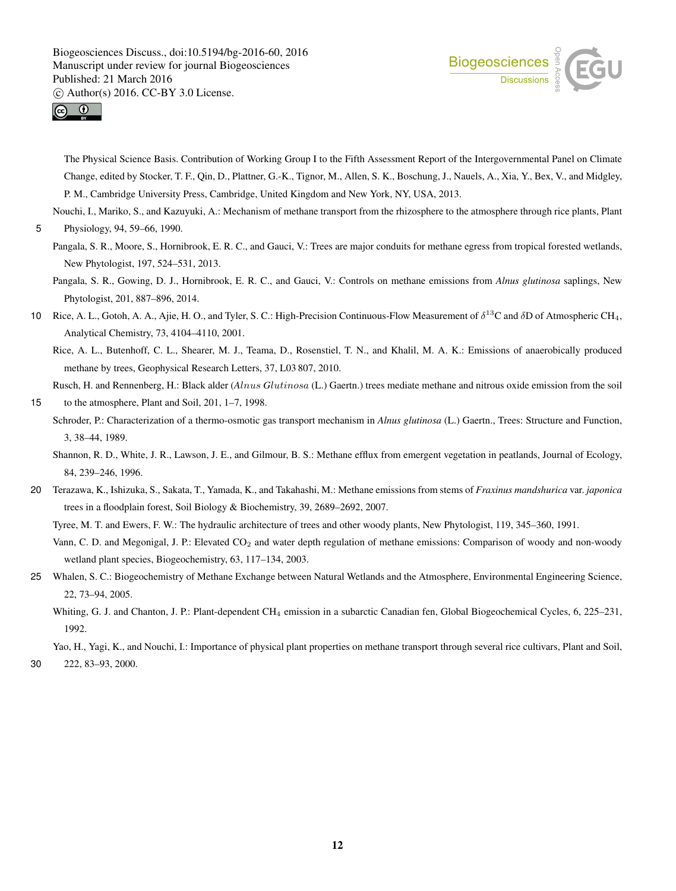



The Physical Science Basis. Contribution of Working Group I to the Fifth Assessment Report of the Intergovernmental Panel on Climate Change, edited by Stocker, T. F., Qin, D., Plattner, G.-K., Tignor, M., Allen, S. K., Boschung, J., Nauels, A., Xia, Y., Bex, V., and Midgley, P. M., Cambridge University Press, Cambridge, United Kingdom and New York, NY, USA, 2013.

Nouchi, I., Mariko, S., and Kazuyuki, A.: Mechanism of methane transport from the rhizosphere to the atmosphere through rice plants, Plant

- Pangala, S. R., Moore, S., Hornibrook, E. R. C., and Gauci, V.: Trees are major conduits for methane egress from tropical forested wetlands, New Phytologist, 197, 524–531, 2013.
- Pangala, S. R., Gowing, D. J., Hornibrook, E. R. C., and Gauci, V.: Controls on methane emissions from *Alnus glutinosa* saplings, New Phytologist, 201, 887–896, 2014.
- 10 Rice, A. L., Gotoh, A. A., Ajie, H. O., and Tyler, S. C.: High-Precision Continuous-Flow Measurement of  $\delta^{13}$ C and  $\delta$ D of Atmospheric CH<sub>4</sub>, Analytical Chemistry, 73, 4104–4110, 2001.

Rice, A. L., Butenhoff, C. L., Shearer, M. J., Teama, D., Rosenstiel, T. N., and Khalil, M. A. K.: Emissions of anaerobically produced methane by trees, Geophysical Research Letters, 37, L03 807, 2010.

Rusch, H. and Rennenberg, H.: Black alder (*A*lnus *G*lutinosa (L.) Gaertn.) trees mediate methane and nitrous oxide emission from the soil

- 15 to the atmosphere, Plant and Soil, 201, 1–7, 1998.
	- Schroder, P.: Characterization of a thermo-osmotic gas transport mechanism in *Alnus glutinosa* (L.) Gaertn., Trees: Structure and Function, 3, 38–44, 1989.

Shannon, R. D., White, J. R., Lawson, J. E., and Gilmour, B. S.: Methane efflux from emergent vegetation in peatlands, Journal of Ecology, 84, 239–246, 1996.

20 Terazawa, K., Ishizuka, S., Sakata, T., Yamada, K., and Takahashi, M.: Methane emissions from stems of *Fraxinus mandshurica* var. *japonica* trees in a floodplain forest, Soil Biology & Biochemistry, 39, 2689–2692, 2007.

Tyree, M. T. and Ewers, F. W.: The hydraulic architecture of trees and other woody plants, New Phytologist, 119, 345–360, 1991.

- Vann, C. D. and Megonigal, J. P.: Elevated CO<sub>2</sub> and water depth regulation of methane emissions: Comparison of woody and non-woody wetland plant species, Biogeochemistry, 63, 117–134, 2003.
- 25 Whalen, S. C.: Biogeochemistry of Methane Exchange between Natural Wetlands and the Atmosphere, Environmental Engineering Science, 22, 73–94, 2005.
	- Whiting, G. J. and Chanton, J. P.: Plant-dependent CH<sub>4</sub> emission in a subarctic Canadian fen, Global Biogeochemical Cycles, 6, 225–231, 1992.
- Yao, H., Yagi, K., and Nouchi, I.: Importance of physical plant properties on methane transport through several rice cultivars, Plant and Soil, 30 222, 83–93, 2000.

<sup>5</sup> Physiology, 94, 59–66, 1990.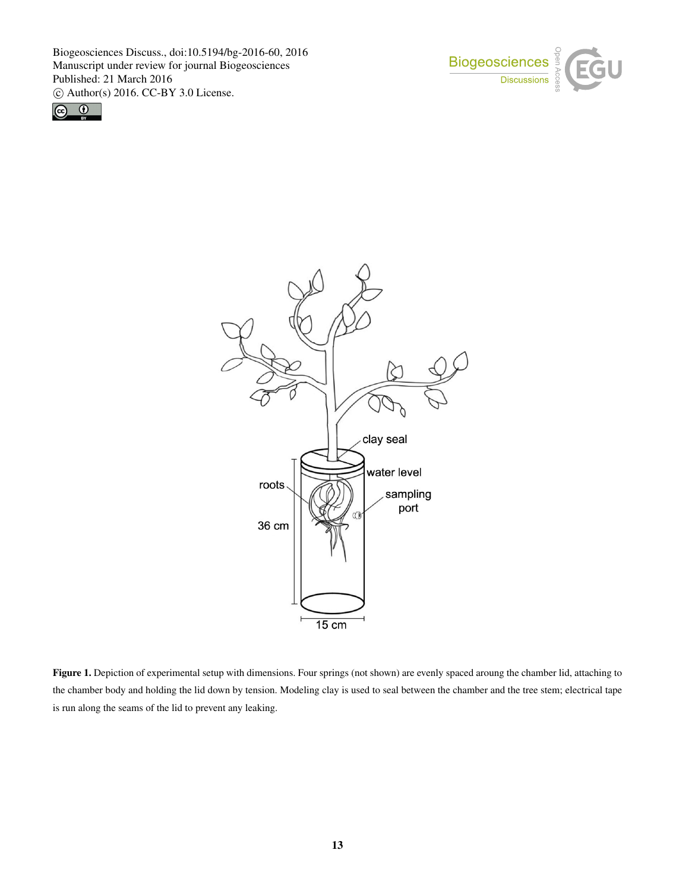





Figure 1. Depiction of experimental setup with dimensions. Four springs (not shown) are evenly spaced aroung the chamber lid, attaching to the chamber body and holding the lid down by tension. Modeling clay is used to seal between the chamber and the tree stem; electrical tape is run along the seams of the lid to prevent any leaking.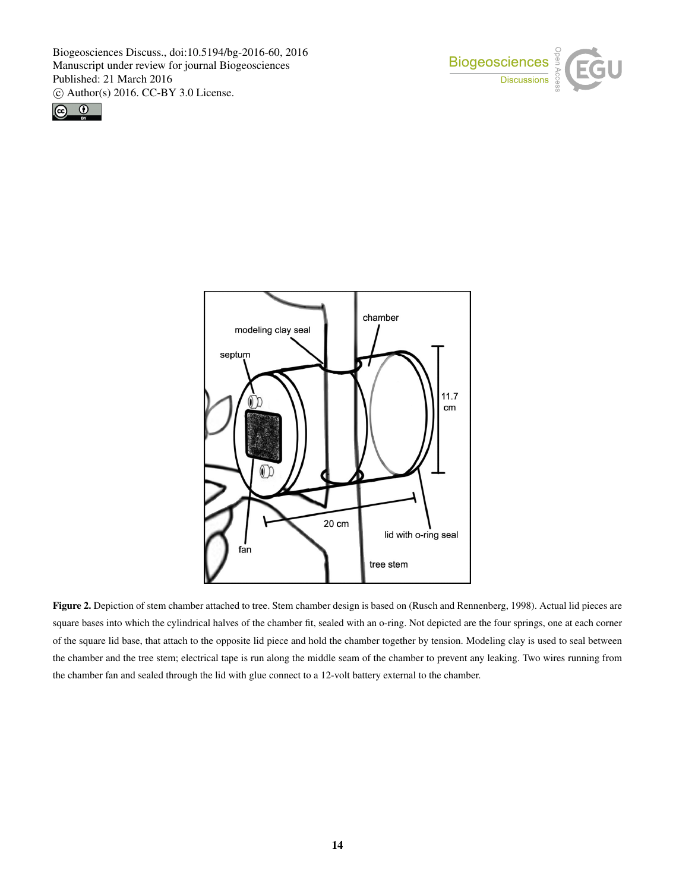





Figure 2. Depiction of stem chamber attached to tree. Stem chamber design is based on (Rusch and Rennenberg, 1998). Actual lid pieces are square bases into which the cylindrical halves of the chamber fit, sealed with an o-ring. Not depicted are the four springs, one at each corner of the square lid base, that attach to the opposite lid piece and hold the chamber together by tension. Modeling clay is used to seal between the chamber and the tree stem; electrical tape is run along the middle seam of the chamber to prevent any leaking. Two wires running from the chamber fan and sealed through the lid with glue connect to a 12-volt battery external to the chamber.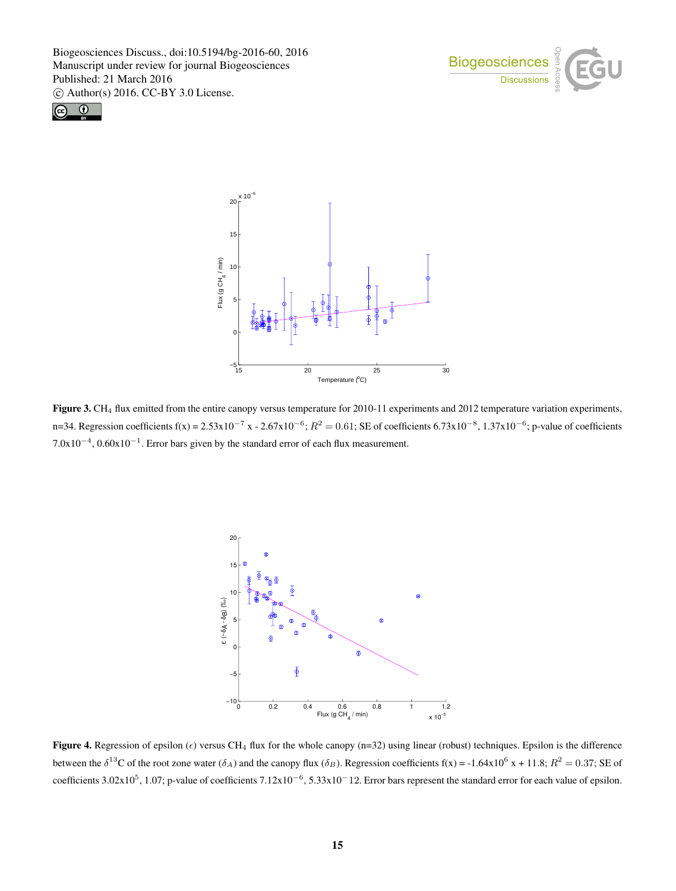





Figure 3. CH<sub>4</sub> flux emitted from the entire canopy versus temperature for 2010-11 experiments and 2012 temperature variation experiments, n=34. Regression coefficients f(x) =  $2.53 \times 10^{-7}$  x -  $2.67 \times 10^{-6}$ ;  $R^2 = 0.61$ ; SE of coefficients  $6.73 \times 10^{-8}$ ,  $1.37 \times 10^{-6}$ ; p-value of coefficients  $7.0x10^{-4}$ ,  $0.60x10^{-1}$ . Error bars given by the standard error of each flux measurement.



Figure 4. Regression of epsilon ( $\epsilon$ ) versus CH<sub>4</sub> flux for the whole canopy (n=32) using linear (robust) techniques. Epsilon is the difference between the  $\delta^{13}$ C of the root zone water ( $\delta_A$ ) and the canopy flux ( $\delta_B$ ). Regression coefficients f(x) = -1.64x10<sup>6</sup> x + 11.8;  $R^2 = 0.37$ ; SE of coefficients 3.02x10<sup>5</sup>, 1.07; p-value of coefficients  $7.12x10^{-6}$ ,  $5.33x10^{-12}$ . Error bars represent the standard error for each value of epsilon.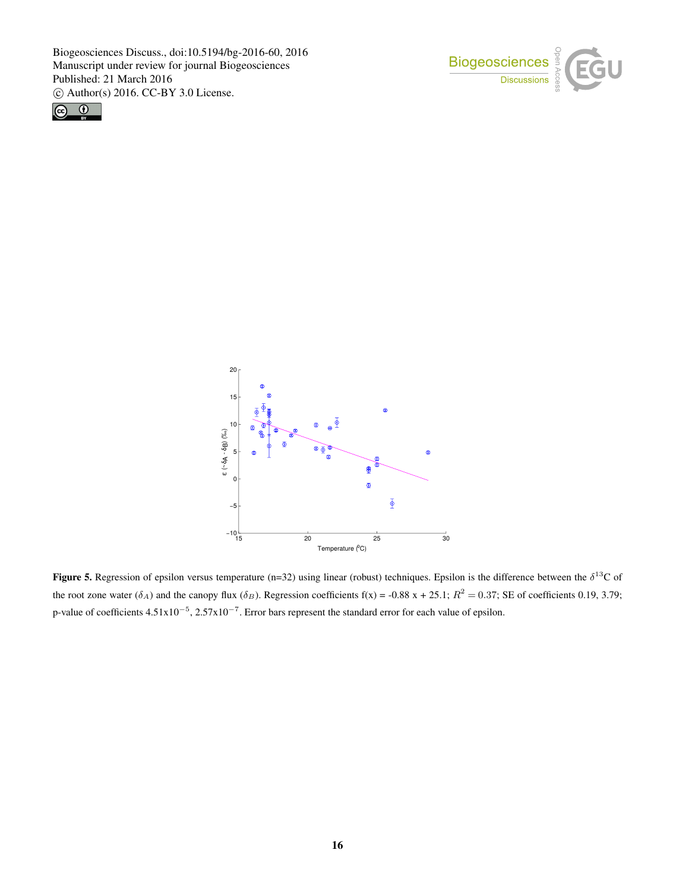





**Figure 5.** Regression of epsilon versus temperature (n=32) using linear (robust) techniques. Epsilon is the difference between the  $\delta^{13}$ C of the root zone water  $(\delta_A)$  and the canopy flux  $(\delta_B)$ . Regression coefficients f(x) = -0.88 x + 25.1;  $R^2 = 0.37$ ; SE of coefficients 0.19, 3.79; p-value of coefficients  $4.51 \times 10^{-5}$ ,  $2.57 \times 10^{-7}$ . Error bars represent the standard error for each value of epsilon.